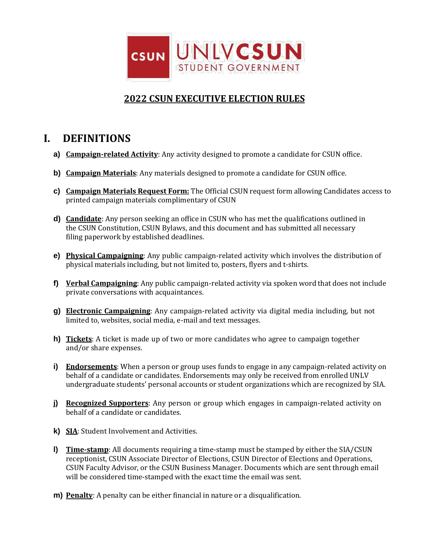

### **2022 CSUN EXECUTIVE ELECTION RULES**

## **I. DEFINITIONS**

- **a) Campaign-related Activity**: Any activity designed to promote a candidate for CSUN office.
- **b) Campaign Materials**: Any materials designed to promote a candidate for CSUN office.
- **c) Campaign Materials Request Form:** The Official CSUN request form allowing Candidates access to printed campaign materials complimentary of CSUN
- **d) Candidate**: Any person seeking an office in CSUN who has met the qualifications outlined in the CSUN Constitution, CSUN Bylaws, and this document and has submitted all necessary filing paperwork by established deadlines.
- **e) Physical Campaigning**: Any public campaign-related activity which involves the distribution of physical materials including, but not limited to, posters, flyers and t-shirts.
- **f) Verbal Campaigning**: Any public campaign-related activity via spoken word that does not include private conversations with acquaintances.
- **g) Electronic Campaigning**: Any campaign-related activity via digital media including, but not limited to, websites, social media, e-mail and text messages.
- **h) Tickets**: A ticket is made up of two or more candidates who agree to campaign together and/or share expenses.
- **i) Endorsements**: When a person or group uses funds to engage in any campaign-related activity on behalf of a candidate or candidates. Endorsements may only be received from enrolled UNLV undergraduate students' personal accounts or student organizations which are recognized by SIA.
- **j) Recognized Supporters**: Any person or group which engages in campaign-related activity on behalf of a candidate or candidates.
- **k) SIA**: Student Involvement and Activities.
- **l) Time-stamp**: All documents requiring a time-stamp must be stamped by either the SIA/CSUN receptionist, CSUN Associate Director of Elections, CSUN Director of Elections and Operations, CSUN Faculty Advisor, or the CSUN Business Manager. Documents which are sent through email will be considered time-stamped with the exact time the email was sent.
- **m) Penalty**: A penalty can be either financial in nature or a disqualification.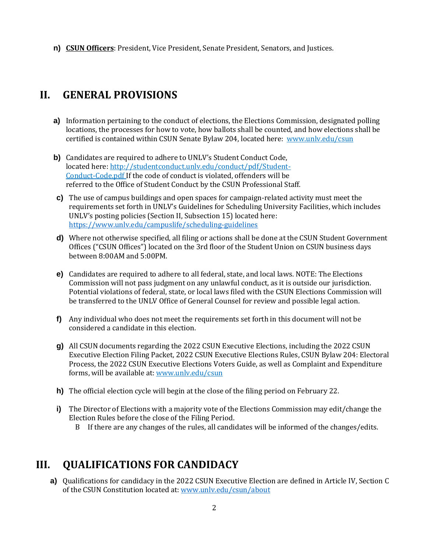**n) CSUN Officers**: President, Vice President, Senate President, Senators, and Justices.

### **II. GENERAL PROVISIONS**

- **a)** Information pertaining to the conduct of elections, the Elections Commission, designated polling locations, the processes for how to vote, how ballots shall be counted, and how elections shall be certified is contained within CSUN Senate Bylaw 204, located here: [www.unlv.edu/csun](http://www.unlv.edu/csun)
- **b)** Candidates are required to adhere to UNLV's Student Conduct Code, located here: [http://studentconduct.unlv.edu/conduct/pdf/Student-](http://studentconduct.unlv.edu/conduct/pdf/Student-Conduct-Code.pdf)[Conduct-Code.pdf](http://studentconduct.unlv.edu/conduct/pdf/Student-Conduct-Code.pdf) If the code of conduct is violated, offenders will be referred to the Office of Student Conduct by the CSUN Professional Staff.
- **c)** The use of campus buildings and open spaces for campaign-related activity must meet the requirements set forth in UNLV's Guidelines for Scheduling University Facilities, which includes UNLV's posting policies (Section II, Subsection 15) located here: <https://www.unlv.edu/campuslife/scheduling-guidelines>
- **d)** Where not otherwise specified, all filing or actions shall be done at the CSUN Student Government Offices ("CSUN Offices") located on the 3rd floor of the Student Union on CSUN business days between 8:00AM and 5:00PM.
- **e)** Candidates are required to adhere to all federal, state, and local laws. NOTE: The Elections Commission will not pass judgment on any unlawful conduct, as it is outside our jurisdiction. Potential violations of federal, state, or local laws filed with the CSUN Elections Commission will be transferred to the UNLV Office of General Counsel for review and possible legal action.
- **f)** Any individual who does not meet the requirements set forth in this document will not be considered a candidate in this election.
- **g)** All CSUN documents regarding the 2022 CSUN Executive Elections, including the 2022 CSUN Executive Election Filing Packet, 2022 CSUN Executive Elections Rules, CSUN Bylaw 204: Electoral Process, the 2022 CSUN Executive Elections Voters Guide, as well as Complaint and Expenditure forms, will be available at: [www.unlv.edu/csun](http://www.unlv.edu/csun)
- **h)** The official election cycle will begin at the close of the filing period on February 22.
- **i)** The Director of Elections with a majority vote of the Elections Commission may edit/change the Election Rules before the close of the Filing Period.
	- B If there are any changes of the rules, all candidates will be informed of the changes/edits.

### **III. QUALIFICATIONS FOR CANDIDACY**

**a)** Qualifications for candidacy in the 2022 CSUN Executive Election are defined in Article IV, Section C of the CSUN Constitution located at[: www.unlv.edu/csun/about](http://www.unlv.edu/csun/about)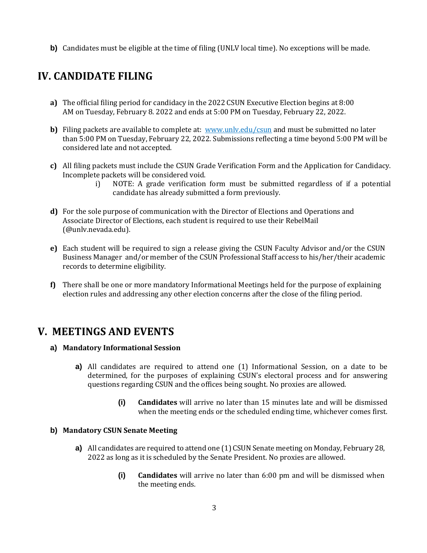**b)** Candidates must be eligible at the time of filing (UNLV local time). No exceptions will be made.

## **IV. CANDIDATE FILING**

- **a)** The official filing period for candidacy in the 2022 CSUN Executive Election begins at 8:00 AM on Tuesday, February 8. 2022 and ends at 5:00 PM on Tuesday, February 22, 2022.
- **b)**Filing packets are available to complete at: www.unly.edu/csun and must be submitted no later than 5:00 PM on Tuesday, February 22, 2022. Submissions reflecting a time beyond 5:00 PM will be considered late and not accepted.
- **c)** All filing packets must include the CSUN Grade Verification Form and the Application for Candidacy. Incomplete packets will be considered void.
	- i) NOTE: A grade verification form must be submitted regardless of if a potential candidate has already submitted a form previously.
- **d)** For the sole purpose of communication with the Director of Elections and Operations and Associate Director of Elections, each student is required to use their RebelMail (@unlv.nevada.edu).
- **e)** Each student will be required to sign a release giving the CSUN Faculty Advisor and/or the CSUN Business Manager and/or member of the CSUN Professional Staff access to his/her/their academic records to determine eligibility.
- **f)** There shall be one or more mandatory Informational Meetings held for the purpose of explaining election rules and addressing any other election concerns after the close of the filing period.

## **V. MEETINGS AND EVENTS**

### **a) Mandatory Informational Session**

- **a)** All candidates are required to attend one (1) Informational Session, on a date to be determined, for the purposes of explaining CSUN's electoral process and for answering questions regarding CSUN and the offices being sought. No proxies are allowed.
	- **(i) Candidates** will arrive no later than 15 minutes late and will be dismissed when the meeting ends or the scheduled ending time, whichever comes first.

### **b) Mandatory CSUN Senate Meeting**

- **a)** All candidates are required to attend one (1) CSUN Senate meeting on Monday, February 28, 2022 as long as it is scheduled by the Senate President. No proxies are allowed.
	- **(i) Candidates** will arrive no later than 6:00 pm and will be dismissed when the meeting ends.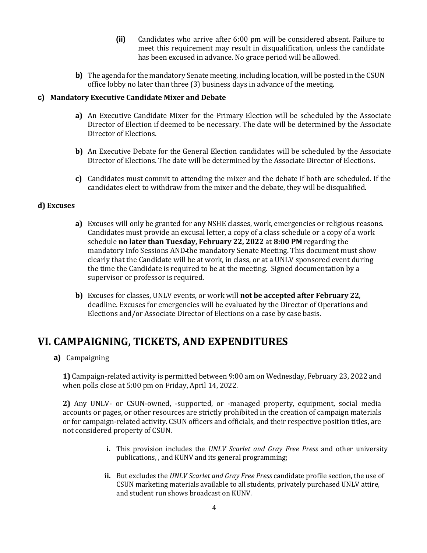- **(ii)** Candidates who arrive after 6:00 pm will be considered absent. Failure to meet this requirement may result in disqualification, unless the candidate has been excused in advance. No grace period will be allowed.
- **b)** The agenda for the mandatory Senate meeting, including location, will be posted in the CSUN office lobby no later than three (3) business days in advance of the meeting.

#### **c) Mandatory Executive Candidate Mixer and Debate**

- **a)** An Executive Candidate Mixer for the Primary Election will be scheduled by the Associate Director of Election if deemed to be necessary. The date will be determined by the Associate Director of Elections.
- **b)** An Executive Debate for the General Election candidates will be scheduled by the Associate Director of Elections. The date will be determined by the Associate Director of Elections.
- **c)** Candidates must commit to attending the mixer and the debate if both are scheduled. If the candidates elect to withdraw from the mixer and the debate, they will be disqualified.

#### **d) Excuses**

- **a)** Excuses will only be granted for any NSHE classes, work, emergencies or religious reasons. Candidates must provide an excusal letter, a copy of a class schedule or a copy of a work schedule **no later than Tuesday, February 22, 2022** at **8:00 PM** regarding the mandatory Info Sessions AND-the mandatory Senate Meeting. This document must show clearly that the Candidate will be at work, in class, or at a UNLV sponsored event during the time the Candidate is required to be at the meeting. Signed documentation by a supervisor or professor is required.
- **b)** Excuses for classes, UNLV events, or work will **not be accepted after February 22**, deadline. Excuses for emergencies will be evaluated by the Director of Operations and Elections and/or Associate Director of Elections on a case by case basis.

## **VI. CAMPAIGNING, TICKETS, AND EXPENDITURES**

**a)** Campaigning

**1)** Campaign-related activity is permitted between 9:00 am on Wednesday, February 23, 2022 and when polls close at 5:00 pm on Friday, April 14, 2022.

**2)** Any UNLV- or CSUN-owned, -supported, or -managed property, equipment, social media accounts or pages, or other resources are strictly prohibited in the creation of campaign materials or for campaign-related activity. CSUN officers and officials, and their respective position titles, are not considered property of CSUN.

- **i.** This provision includes the *UNLV Scarlet and Gray Free Press* and other university publications, , and KUNV and its general programming;
- **ii.** But excludes the *UNLV Scarlet and Gray Free Press* candidate profile section, the use of CSUN marketing materials available to all students, privately purchased UNLV attire, and student run shows broadcast on KUNV.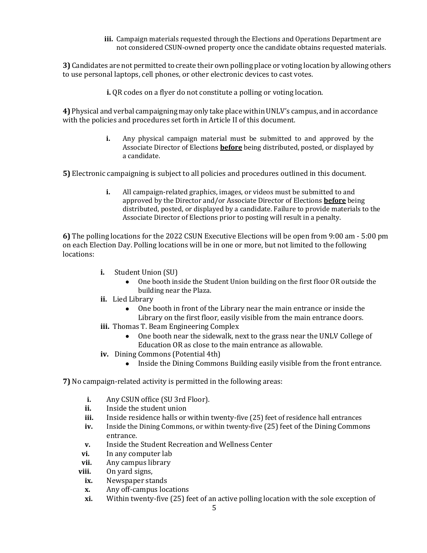**iii.** Campaign materials requested through the Elections and Operations Department are not considered CSUN-owned property once the candidate obtains requested materials.

**3)** Candidates are not permitted to create their own polling place or voting location by allowing others to use personal laptops, cell phones, or other electronic devices to cast votes.

**i.** QR codes on a flyer do not constitute a polling or voting location.

**4)** Physical and verbal campaigning may only take place within UNLV's campus, and in accordance with the policies and procedures set forth in Article II of this document.

> **i.** Any physical campaign material must be submitted to and approved by the Associate Director of Elections **before** being distributed, posted, or displayed by a candidate.

**5)** Electronic campaigning is subject to all policies and procedures outlined in this document.

**i.** All campaign-related graphics, images, or videos must be submitted to and approved by the Director and/or Associate Director of Elections **before** being distributed, posted, or displayed by a candidate. Failure to provide materials to the Associate Director of Elections prior to posting will result in a penalty.

**6)** The polling locations for the 2022 CSUN Executive Elections will be open from 9:00 am - 5:00 pm on each Election Day. Polling locations will be in one or more, but not limited to the following locations:

- **i.** Student Union (SU)
	- One booth inside the Student Union building on the first floor OR outside the building near the Plaza.
- **ii.** Lied Library
	- One booth in front of the Library near the main entrance or inside the Library on the first floor, easily visible from the main entrance doors.
- **iii.** Thomas T. Beam Engineering Complex
	- One booth near the sidewalk, next to the grass near the UNLV College of Education OR as close to the main entrance as allowable.
- **iv.** Dining Commons (Potential 4th)
	- Inside the Dining Commons Building easily visible from the front entrance.

#### **7)** No campaign-related activity is permitted in the following areas:

- **i.** Any CSUN office (SU 3rd Floor).
- **ii.** Inside the student union
- **iii.** Inside residence halls or within twenty-five (25) feet of residence hall entrances
- **iv.** Inside the Dining Commons, or within twenty-five (25) feet of the Dining Commons entrance.
- **v.** Inside the Student Recreation and Wellness Center
- **vi.** In any computer lab
- **vii.** Any campus library
- **viii.** On yard signs,
	- **ix.** Newspaper stands
	- **x.** Any off-campus locations
	- **xi.** Within twenty-five (25) feet of an active polling location with the sole exception of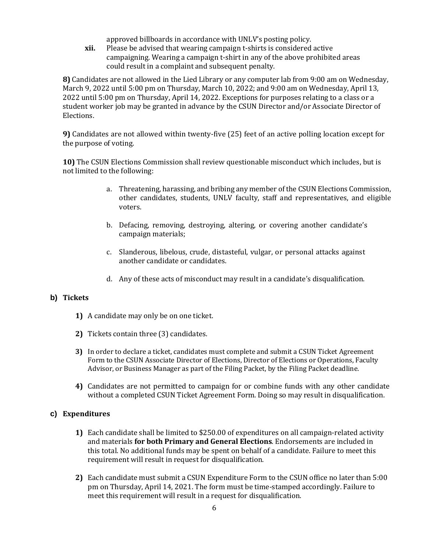approved billboards in accordance with UNLV's posting policy.

**xii.** Please be advised that wearing campaign t-shirts is considered active campaigning. Wearing a campaign t-shirt in any of the above prohibited areas could result in a complaint and subsequent penalty.

**8)** Candidates are not allowed in the Lied Library or any computer lab from 9:00 am on Wednesday, March 9, 2022 until 5:00 pm on Thursday, March 10, 2022; and 9:00 am on Wednesday, April 13, 2022 until 5:00 pm on Thursday, April 14, 2022. Exceptions for purposes relating to a class or a student worker job may be granted in advance by the CSUN Director and/or Associate Director of Elections.

**9)** Candidates are not allowed within twenty-five (25) feet of an active polling location except for the purpose of voting.

**10)** The CSUN Elections Commission shall review questionable misconduct which includes, but is not limited to the following:

- a. Threatening, harassing, and bribing any member of the CSUN Elections Commission, other candidates, students, UNLV faculty, staff and representatives, and eligible voters.
- b. Defacing, removing, destroying, altering, or covering another candidate's campaign materials;
- c. Slanderous, libelous, crude, distasteful, vulgar, or personal attacks against another candidate or candidates.
- d. Any of these acts of misconduct may result in a candidate's disqualification.

### **b) Tickets**

- **1)** A candidate may only be on one ticket.
- **2)** Tickets contain three (3) candidates.
- **3)** In order to declare a ticket, candidates must complete and submit a CSUN Ticket Agreement Form to the CSUN Associate Director of Elections, Director of Elections or Operations, Faculty Advisor, or Business Manager as part of the Filing Packet, by the Filing Packet deadline.
- **4)** Candidates are not permitted to campaign for or combine funds with any other candidate without a completed CSUN Ticket Agreement Form. Doing so may result in disqualification.

### **c) Expenditures**

- **1)** Each candidate shall be limited to \$250.00 of expenditures on all campaign-related activity and materials **for both Primary and General Elections**. Endorsements are included in this total. No additional funds may be spent on behalf of a candidate. Failure to meet this requirement will result in request for disqualification.
- **2)** Each candidate must submit a CSUN Expenditure Form to the CSUN office no later than 5:00 pm on Thursday, April 14, 2021. The form must be time-stamped accordingly. Failure to meet this requirement will result in a request for disqualification.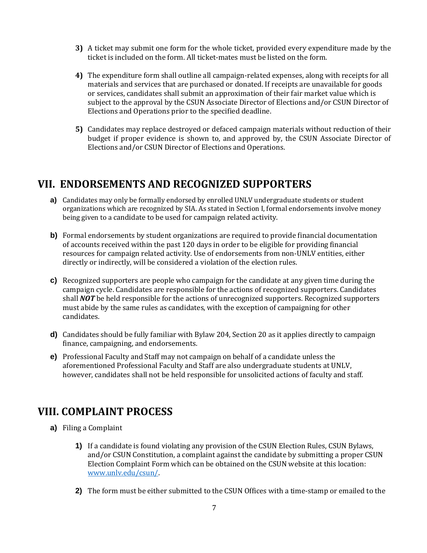- **3)** A ticket may submit one form for the whole ticket, provided every expenditure made by the ticket is included on the form. All ticket-mates must be listed on the form.
- **4)** The expenditure form shall outline all campaign-related expenses, along with receipts for all materials and services that are purchased or donated. If receipts are unavailable for goods or services, candidates shall submit an approximation of their fair market value which is subject to the approval by the CSUN Associate Director of Elections and/or CSUN Director of Elections and Operations prior to the specified deadline.
- **5)** Candidates may replace destroyed or defaced campaign materials without reduction of their budget if proper evidence is shown to, and approved by, the CSUN Associate Director of Elections and/or CSUN Director of Elections and Operations.

### **VII. ENDORSEMENTS AND RECOGNIZED SUPPORTERS**

- **a)** Candidates may only be formally endorsed by enrolled UNLV undergraduate students or student organizations which are recognized by SIA. As stated in Section I, formal endorsements involve money being given to a candidate to be used for campaign related activity.
- **b)** Formal endorsements by student organizations are required to provide financial documentation of accounts received within the past 120 days in order to be eligible for providing financial resources for campaign related activity. Use of endorsements from non-UNLV entities, either directly or indirectly, will be considered a violation of the election rules.
- **c)** Recognized supporters are people who campaign for the candidate at any given time during the campaign cycle. Candidates are responsible for the actions of recognized supporters. Candidates shall *NOT* be held responsible for the actions of unrecognized supporters. Recognized supporters must abide by the same rules as candidates, with the exception of campaigning for other candidates.
- **d)** Candidates should be fully familiar with Bylaw 204, Section 20 as it applies directly to campaign finance, campaigning, and endorsements.
- **e)** Professional Faculty and Staff may not campaign on behalf of a candidate unless the aforementioned Professional Faculty and Staff are also undergraduate students at UNLV, however, candidates shall not be held responsible for unsolicited actions of faculty and staff.

## **VIII. COMPLAINT PROCESS**

- **a)** Filing a Complaint
	- **1)** If a candidate is found violating any provision of the CSUN Election Rules, CSUN Bylaws, and/or CSUN Constitution, a complaint against the candidate by submitting a proper CSUN Election Complaint Form which can be obtained on the CSUN website at this location: [www.unlv.edu/csun/.](http://www.unlv.edu/csun/)
	- **2)** The form must be either submitted to the CSUN Offices with a time-stamp or emailed to the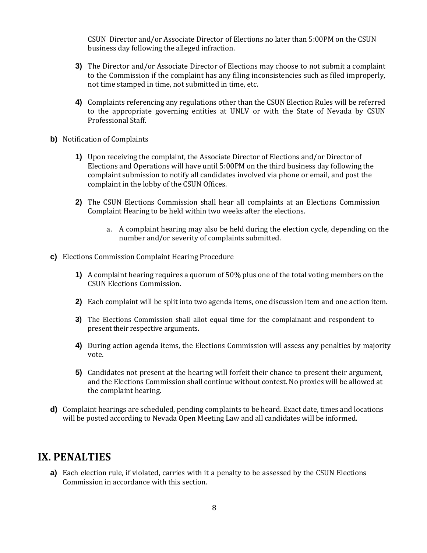CSUN Director and/or Associate Director of Elections no later than 5:00PM on the CSUN business day following the alleged infraction.

- **3)** The Director and/or Associate Director of Elections may choose to not submit a complaint to the Commission if the complaint has any filing inconsistencies such as filed improperly, not time stamped in time, not submitted in time, etc.
- **4)** Complaints referencing any regulations other than the CSUN Election Rules will be referred to the appropriate governing entities at UNLV or with the State of Nevada by CSUN Professional Staff.
- **b)** Notification of Complaints
	- **1)** Upon receiving the complaint, the Associate Director of Elections and/or Director of Elections and Operations will have until 5:00PM on the third business day following the complaint submission to notify all candidates involved via phone or email, and post the complaint in the lobby of the CSUN Offices.
	- **2)** The CSUN Elections Commission shall hear all complaints at an Elections Commission Complaint Hearing to be held within two weeks after the elections.
		- a. A complaint hearing may also be held during the election cycle, depending on the number and/or severity of complaints submitted.
- **c)** Elections Commission Complaint Hearing Procedure
	- **1)** A complaint hearing requires a quorum of 50% plus one of the total voting members on the CSUN Elections Commission.
	- **2)** Each complaint will be split into two agenda items, one discussion item and one action item.
	- **3)** The Elections Commission shall allot equal time for the complainant and respondent to present their respective arguments.
	- **4)** During action agenda items, the Elections Commission will assess any penalties by majority vote.
	- **5)** Candidates not present at the hearing will forfeit their chance to present their argument, and the Elections Commission shall continue without contest. No proxies will be allowed at the complaint hearing.
- **d)** Complaint hearings are scheduled, pending complaints to be heard. Exact date, times and locations will be posted according to Nevada Open Meeting Law and all candidates will be informed.

### **IX. PENALTIES**

**a)** Each election rule, if violated, carries with it a penalty to be assessed by the CSUN Elections Commission in accordance with this section.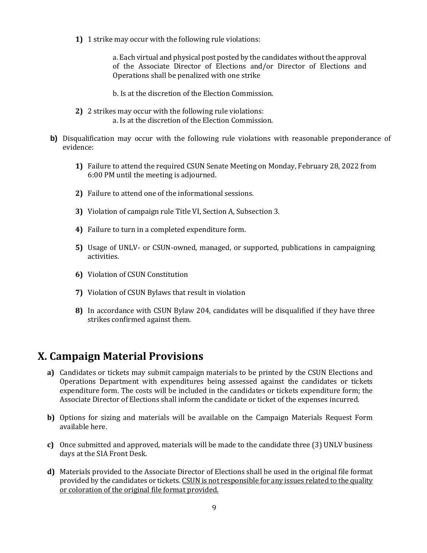**1)** 1 strike may occur with the following rule violations:

a. Each virtual and physical post posted by the candidates without the approval of the Associate Director of Elections and/or Director of Elections and Operations shall be penalized with one strike

- b. Is at the discretion of the Election Commission.
- **2)** 2 strikes may occur with the following rule violations: a. Is at the discretion of the Election Commission.
- **b)** Disqualification may occur with the following rule violations with reasonable preponderance of evidence:
	- **1)** Failure to attend the required CSUN Senate Meeting on Monday, February 28, 2022 from 6:00 PM until the meeting is adjourned.
	- **2)** Failure to attend one of the informational sessions.
	- **3)** Violation of campaign rule Title VI, Section A, Subsection 3.
	- **4)** Failure to turn in a completed expenditure form.
	- **5)** Usage of UNLV- or CSUN-owned, managed, or supported, publications in campaigning activities.
	- **6)** Violation of CSUN Constitution
	- **7)** Violation of CSUN Bylaws that result in violation
	- **8)** In accordance with CSUN Bylaw 204, candidates will be disqualified if they have three strikes confirmed against them.

### **X. Campaign Material Provisions**

- **a)** Candidates or tickets may submit campaign materials to be printed by the CSUN Elections and Operations Department with expenditures being assessed against the candidates or tickets expenditure form. The costs will be included in the candidates or tickets expenditure form; the Associate Director of Elections shall inform the candidate or ticket of the expenses incurred.
- **b)** Options for sizing and materials will be available on the Campaign Materials Request Form available here.
- **c)** Once submitted and approved, materials will be made to the candidate three (3) UNLV business days at the SIA Front Desk.
- **d)** Materials provided to the Associate Director of Elections shall be used in the original file format provided by the candidates or tickets. CSUN is not responsible for any issues related to the quality or coloration of the original file format provided.